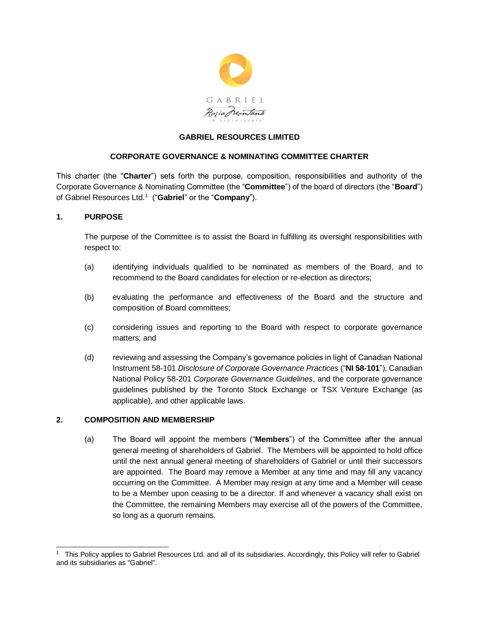

# **GABRIEL RESOURCES LIMITED**

### **CORPORATE GOVERNANCE & NOMINATING COMMITTEE CHARTER**

This charter (the "**Charter**") sets forth the purpose, composition, responsibilities and authority of the Corporate Governance & Nominating Committee (the "**Committee**") of the board of directors (the "**Board**") of Gabriel Resources Ltd.<sup>1</sup> ("**Gabriel**" or the "**Company**").

### **1. PURPOSE**

 $\overline{a}$ 

The purpose of the Committee is to assist the Board in fulfilling its oversight responsibilities with respect to:

- (a) identifying individuals qualified to be nominated as members of the Board, and to recommend to the Board candidates for election or re-election as directors;
- (b) evaluating the performance and effectiveness of the Board and the structure and composition of Board committees;
- (c) considering issues and reporting to the Board with respect to corporate governance matters; and
- (d) reviewing and assessing the Company's governance policies in light of Canadian National Instrument 58-101 *Disclosure of Corporate Governance Practices* ("**NI 58-101**"), Canadian National Policy 58-201 *Corporate Governance Guidelines*, and the corporate governance guidelines published by the Toronto Stock Exchange or TSX Venture Exchange (as applicable), and other applicable laws.

## **2. COMPOSITION AND MEMBERSHIP**

(a) The Board will appoint the members ("**Members**") of the Committee after the annual general meeting of shareholders of Gabriel. The Members will be appointed to hold office until the next annual general meeting of shareholders of Gabriel or until their successors are appointed. The Board may remove a Member at any time and may fill any vacancy occurring on the Committee. A Member may resign at any time and a Member will cease to be a Member upon ceasing to be a director. If and whenever a vacancy shall exist on the Committee, the remaining Members may exercise all of the powers of the Committee, so long as a quorum remains.

<sup>1</sup> This Policy applies to Gabriel Resources Ltd. and all of its subsidiaries. Accordingly, this Policy will refer to Gabriel and its subsidiaries as "Gabriel".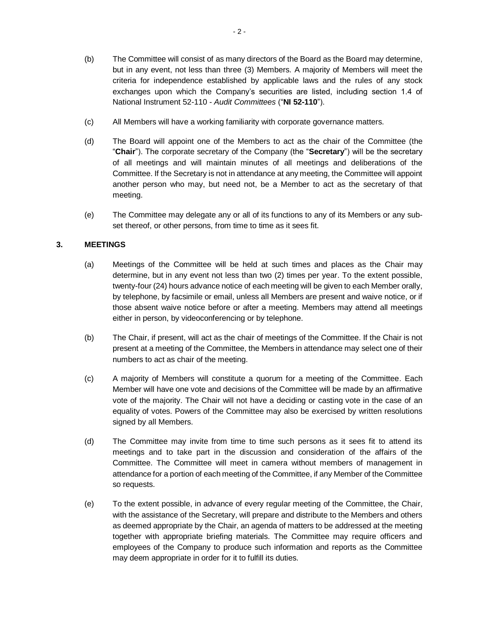- (b) The Committee will consist of as many directors of the Board as the Board may determine, but in any event, not less than three (3) Members. A majority of Members will meet the criteria for independence established by applicable laws and the rules of any stock exchanges upon which the Company's securities are listed, including section 1.4 of National Instrument 52-110 - *Audit Committees* ("**NI 52-110**").
- (c) All Members will have a working familiarity with corporate governance matters.
- (d) The Board will appoint one of the Members to act as the chair of the Committee (the "**Chair**"). The corporate secretary of the Company (the "**Secretary**") will be the secretary of all meetings and will maintain minutes of all meetings and deliberations of the Committee. If the Secretary is not in attendance at any meeting, the Committee will appoint another person who may, but need not, be a Member to act as the secretary of that meeting.
- (e) The Committee may delegate any or all of its functions to any of its Members or any subset thereof, or other persons, from time to time as it sees fit.

## **3. MEETINGS**

- (a) Meetings of the Committee will be held at such times and places as the Chair may determine, but in any event not less than two (2) times per year. To the extent possible, twenty-four (24) hours advance notice of each meeting will be given to each Member orally, by telephone, by facsimile or email, unless all Members are present and waive notice, or if those absent waive notice before or after a meeting. Members may attend all meetings either in person, by videoconferencing or by telephone.
- (b) The Chair, if present, will act as the chair of meetings of the Committee. If the Chair is not present at a meeting of the Committee, the Members in attendance may select one of their numbers to act as chair of the meeting.
- (c) A majority of Members will constitute a quorum for a meeting of the Committee. Each Member will have one vote and decisions of the Committee will be made by an affirmative vote of the majority. The Chair will not have a deciding or casting vote in the case of an equality of votes. Powers of the Committee may also be exercised by written resolutions signed by all Members.
- (d) The Committee may invite from time to time such persons as it sees fit to attend its meetings and to take part in the discussion and consideration of the affairs of the Committee. The Committee will meet in camera without members of management in attendance for a portion of each meeting of the Committee, if any Member of the Committee so requests.
- (e) To the extent possible, in advance of every regular meeting of the Committee, the Chair, with the assistance of the Secretary, will prepare and distribute to the Members and others as deemed appropriate by the Chair, an agenda of matters to be addressed at the meeting together with appropriate briefing materials. The Committee may require officers and employees of the Company to produce such information and reports as the Committee may deem appropriate in order for it to fulfill its duties.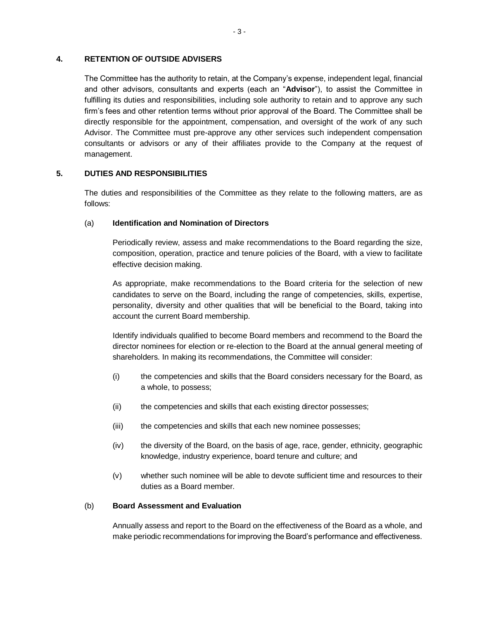### **4. RETENTION OF OUTSIDE ADVISERS**

The Committee has the authority to retain, at the Company's expense, independent legal, financial and other advisors, consultants and experts (each an "**Advisor**"), to assist the Committee in fulfilling its duties and responsibilities, including sole authority to retain and to approve any such firm's fees and other retention terms without prior approval of the Board. The Committee shall be directly responsible for the appointment, compensation, and oversight of the work of any such Advisor. The Committee must pre-approve any other services such independent compensation consultants or advisors or any of their affiliates provide to the Company at the request of management.

### **5. DUTIES AND RESPONSIBILITIES**

The duties and responsibilities of the Committee as they relate to the following matters, are as follows:

### (a) **Identification and Nomination of Directors**

Periodically review, assess and make recommendations to the Board regarding the size, composition, operation, practice and tenure policies of the Board, with a view to facilitate effective decision making.

As appropriate, make recommendations to the Board criteria for the selection of new candidates to serve on the Board, including the range of competencies, skills, expertise, personality, diversity and other qualities that will be beneficial to the Board, taking into account the current Board membership.

Identify individuals qualified to become Board members and recommend to the Board the director nominees for election or re-election to the Board at the annual general meeting of shareholders. In making its recommendations, the Committee will consider:

- (i) the competencies and skills that the Board considers necessary for the Board, as a whole, to possess;
- (ii) the competencies and skills that each existing director possesses;
- (iii) the competencies and skills that each new nominee possesses;
- (iv) the diversity of the Board, on the basis of age, race, gender, ethnicity, geographic knowledge, industry experience, board tenure and culture; and
- (v) whether such nominee will be able to devote sufficient time and resources to their duties as a Board member.

#### (b) **Board Assessment and Evaluation**

Annually assess and report to the Board on the effectiveness of the Board as a whole, and make periodic recommendations for improving the Board's performance and effectiveness.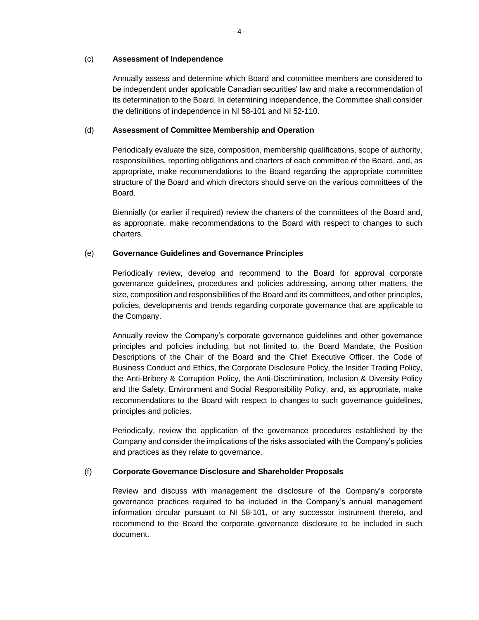### (c) **Assessment of Independence**

Annually assess and determine which Board and committee members are considered to be independent under applicable Canadian securities' law and make a recommendation of its determination to the Board. In determining independence, the Committee shall consider the definitions of independence in NI 58-101 and NI 52-110.

### (d) **Assessment of Committee Membership and Operation**

Periodically evaluate the size, composition, membership qualifications, scope of authority, responsibilities, reporting obligations and charters of each committee of the Board, and, as appropriate, make recommendations to the Board regarding the appropriate committee structure of the Board and which directors should serve on the various committees of the Board.

Biennially (or earlier if required) review the charters of the committees of the Board and, as appropriate, make recommendations to the Board with respect to changes to such charters.

## (e) **Governance Guidelines and Governance Principles**

Periodically review, develop and recommend to the Board for approval corporate governance guidelines, procedures and policies addressing, among other matters, the size, composition and responsibilities of the Board and its committees, and other principles, policies, developments and trends regarding corporate governance that are applicable to the Company.

Annually review the Company's corporate governance guidelines and other governance principles and policies including, but not limited to, the Board Mandate, the Position Descriptions of the Chair of the Board and the Chief Executive Officer, the Code of Business Conduct and Ethics, the Corporate Disclosure Policy, the Insider Trading Policy, the Anti-Bribery & Corruption Policy, the Anti-Discrimination, Inclusion & Diversity Policy and the Safety, Environment and Social Responsibility Policy, and, as appropriate, make recommendations to the Board with respect to changes to such governance guidelines, principles and policies.

Periodically, review the application of the governance procedures established by the Company and consider the implications of the risks associated with the Company's policies and practices as they relate to governance.

## (f) **Corporate Governance Disclosure and Shareholder Proposals**

Review and discuss with management the disclosure of the Company's corporate governance practices required to be included in the Company's annual management information circular pursuant to NI 58-101, or any successor instrument thereto, and recommend to the Board the corporate governance disclosure to be included in such document.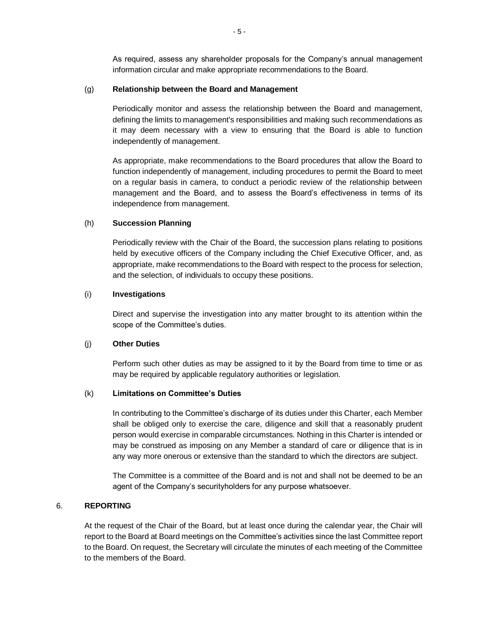As required, assess any shareholder proposals for the Company's annual management information circular and make appropriate recommendations to the Board.

#### (g) **Relationship between the Board and Management**

Periodically monitor and assess the relationship between the Board and management, defining the limits to management's responsibilities and making such recommendations as it may deem necessary with a view to ensuring that the Board is able to function independently of management.

As appropriate, make recommendations to the Board procedures that allow the Board to function independently of management, including procedures to permit the Board to meet on a regular basis in camera, to conduct a periodic review of the relationship between management and the Board, and to assess the Board's effectiveness in terms of its independence from management.

### (h) **Succession Planning**

Periodically review with the Chair of the Board, the succession plans relating to positions held by executive officers of the Company including the Chief Executive Officer, and, as appropriate, make recommendations to the Board with respect to the process for selection, and the selection, of individuals to occupy these positions.

### (i) **Investigations**

Direct and supervise the investigation into any matter brought to its attention within the scope of the Committee's duties.

### (j) **Other Duties**

Perform such other duties as may be assigned to it by the Board from time to time or as may be required by applicable regulatory authorities or legislation.

#### (k) **Limitations on Committee's Duties**

In contributing to the Committee's discharge of its duties under this Charter, each Member shall be obliged only to exercise the care, diligence and skill that a reasonably prudent person would exercise in comparable circumstances. Nothing in this Charter is intended or may be construed as imposing on any Member a standard of care or diligence that is in any way more onerous or extensive than the standard to which the directors are subject.

The Committee is a committee of the Board and is not and shall not be deemed to be an agent of the Company's securityholders for any purpose whatsoever.

# 6. **REPORTING**

At the request of the Chair of the Board, but at least once during the calendar year, the Chair will report to the Board at Board meetings on the Committee's activities since the last Committee report to the Board. On request, the Secretary will circulate the minutes of each meeting of the Committee to the members of the Board.